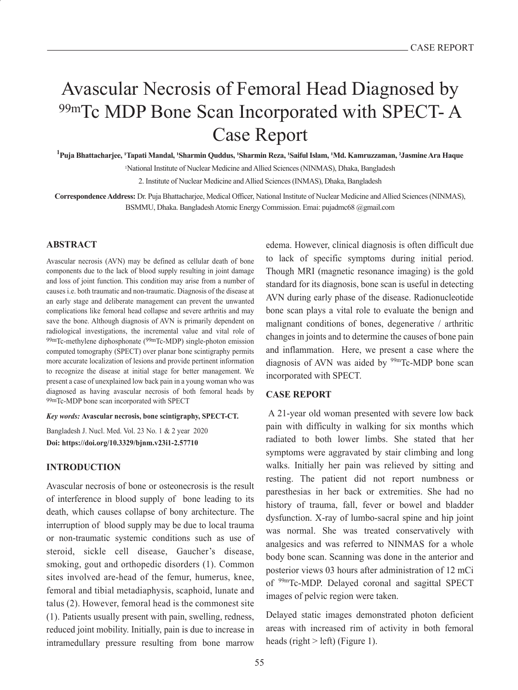# Avascular Necrosis of Femoral Head Diagnosed by 99mTc MDP Bone Scan Incorporated with SPECT- A Case Report

**1 Puja Bhattacharjee, 1Tapati Mandal, 1Sharmin Quddus, 1Sharmin Reza, 1Saiful Islam, 1Md. Kamruzzaman, 2Jasmine Ara Haque** 1National Institute of Nuclear Medicine and Allied Sciences (NINMAS), Dhaka, Bangladesh

2. Institute of Nuclear Medicine and Allied Sciences (INMAS), Dhaka, Bangladesh

**Correspondence Address:** Dr. Puja Bhattacharjee, Medical Officer, National Institute of Nuclear Medicine and Allied Sciences (NINMAS), BSMMU, Dhaka. Bangladesh Atomic Energy Commission. Emai: pujadmc68 @gmail.com

#### **ABSTRACT**

Avascular necrosis (AVN) may be defined as cellular death of bone components due to the lack of blood supply resulting in joint damage and loss of joint function. This condition may arise from a number of causes i.e. both traumatic and non-traumatic. Diagnosis of the disease at an early stage and deliberate management can prevent the unwanted complications like femoral head collapse and severe arthritis and may save the bone. Although diagnosis of AVN is primarily dependent on radiological investigations, the incremental value and vital role of 99mTc-methylene diphosphonate (99mTc-MDP) single-photon emission computed tomography (SPECT) over planar bone scintigraphy permits more accurate localization of lesions and provide pertinent information to recognize the disease at initial stage for better management. We present a case of unexplained low back pain in a young woman who was diagnosed as having avascular necrosis of both femoral heads by 99mTc-MDP bone scan incorporated with SPECT

*Key words:* **Avascular necrosis, bone scintigraphy, SPECT-CT.**

Bangladesh J. Nucl. Med. Vol. 23 No. 1 & 2 year 2020 **Doi: https://doi.org/10.3329/bjnm.v23i1-2.57710**

## **INTRODUCTION**

Avascular necrosis of bone or osteonecrosis is the result of interference in blood supply of bone leading to its death, which causes collapse of bony architecture. The interruption of blood supply may be due to local trauma or non-traumatic systemic conditions such as use of steroid, sickle cell disease, Gaucher's disease, smoking, gout and orthopedic disorders (1). Common sites involved are-head of the femur, humerus, knee, femoral and tibial metadiaphysis, scaphoid, lunate and talus (2). However, femoral head is the commonest site (1). Patients usually present with pain, swelling, redness, reduced joint mobility. Initially, pain is due to increase in intramedullary pressure resulting from bone marrow

edema. However, clinical diagnosis is often difficult due to lack of specific symptoms during initial period. Though MRI (magnetic resonance imaging) is the gold standard for its diagnosis, bone scan is useful in detecting AVN during early phase of the disease. Radionucleotide bone scan plays a vital role to evaluate the benign and malignant conditions of bones, degenerative / arthritic changes in joints and to determine the causes of bone pain and inflammation. Here, we present a case where the diagnosis of AVN was aided by  $99m$ Tc-MDP bone scan incorporated with SPECT.

## **CASE REPORT**

 A 21-year old woman presented with severe low back pain with difficulty in walking for six months which radiated to both lower limbs. She stated that her symptoms were aggravated by stair climbing and long walks. Initially her pain was relieved by sitting and resting. The patient did not report numbness or paresthesias in her back or extremities. She had no history of trauma, fall, fever or bowel and bladder dysfunction. X-ray of lumbo-sacral spine and hip joint was normal. She was treated conservatively with analgesics and was referred to NINMAS for a whole body bone scan. Scanning was done in the anterior and posterior views 03 hours after administration of 12 mCi of 99mTc-MDP. Delayed coronal and sagittal SPECT images of pelvic region were taken.

Delayed static images demonstrated photon deficient areas with increased rim of activity in both femoral heads (right > left) (Figure 1).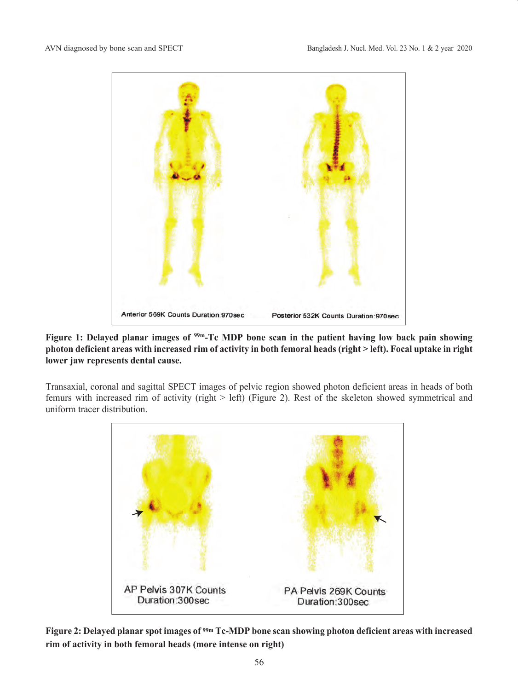

Figure 1: Delayed planar images of <sup>99m</sup>-Tc MDP bone scan in the patient having low back pain showing **photon deficient areas with increased rim of activity in both femoral heads (right > left). Focal uptake in right lower jaw represents dental cause.**

Transaxial, coronal and sagittal SPECT images of pelvic region showed photon deficient areas in heads of both femurs with increased rim of activity (right > left) (Figure 2). Rest of the skeleton showed symmetrical and uniform tracer distribution.



**Figure 2: Delayed planar spot images of 99m Tc-MDP bone scan showing photon deficient areas with increased rim of activity in both femoral heads (more intense on right)**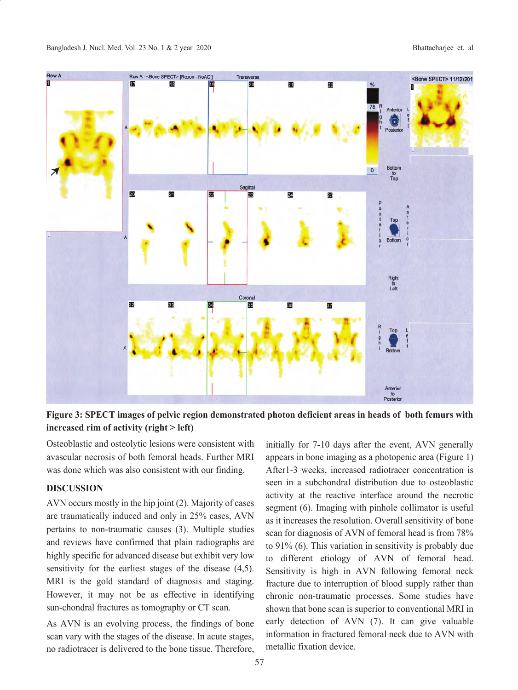

**Figure 3: SPECT images of pelvic region demonstrated photon deficient areas in heads of both femurs with increased rim of activity (right > left)**

Osteoblastic and osteolytic lesions were consistent with avascular necrosis of both femoral heads. Further MRI was done which was also consistent with our finding.

# **DISCUSSION**

AVN occurs mostly in the hip joint (2). Majority of cases are traumatically induced and only in 25% cases, AVN pertains to non-traumatic causes (3). Multiple studies and reviews have confirmed that plain radiographs are highly specific for advanced disease but exhibit very low sensitivity for the earliest stages of the disease (4,5). MRI is the gold standard of diagnosis and staging. However, it may not be as effective in identifying sun-chondral fractures as tomography or CT scan.

As AVN is an evolving process, the findings of bone scan vary with the stages of the disease. In acute stages, no radiotracer is delivered to the bone tissue. Therefore, initially for 7-10 days after the event, AVN generally appears in bone imaging as a photopenic area (Figure 1) After1-3 weeks, increased radiotracer concentration is seen in a subchondral distribution due to osteoblastic activity at the reactive interface around the necrotic segment (6). Imaging with pinhole collimator is useful as it increases the resolution. Overall sensitivity of bone scan for diagnosis of AVN of femoral head is from 78% to 91% (6). This variation in sensitivity is probably due to different etiology of AVN of femoral head. Sensitivity is high in AVN following femoral neck fracture due to interruption of blood supply rather than chronic non-traumatic processes. Some studies have shown that bone scan is superior to conventional MRI in early detection of AVN (7). It can give valuable information in fractured femoral neck due to AVN with metallic fixation device.